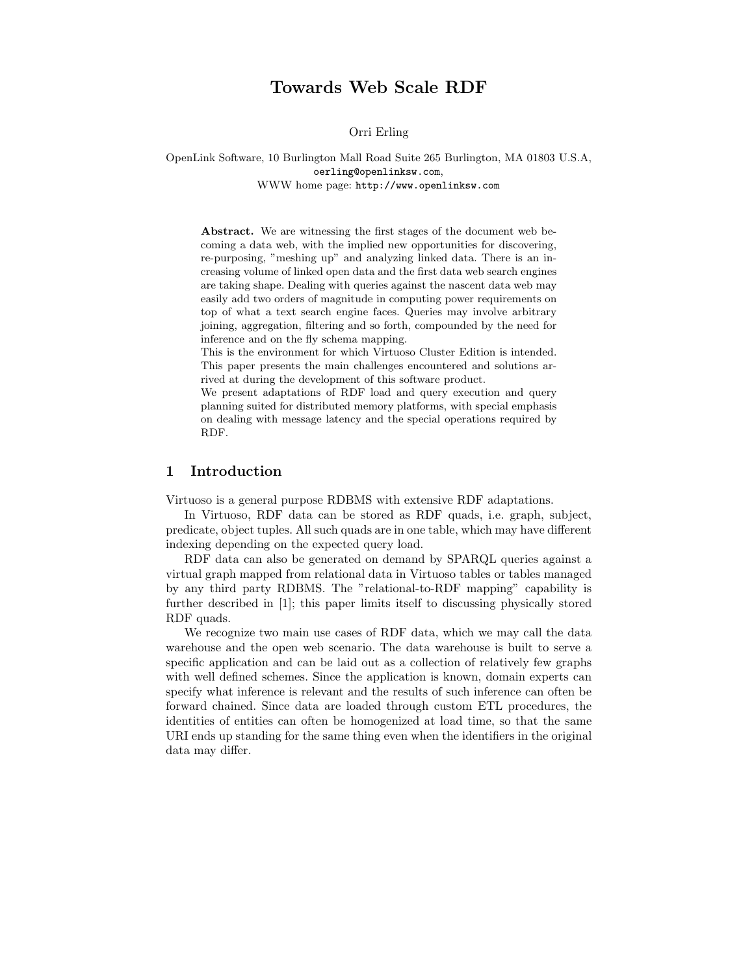# Towards Web Scale RDF

Orri Erling

OpenLink Software, 10 Burlington Mall Road Suite 265 Burlington, MA 01803 U.S.A, oerling@openlinksw.com, WWW home page: http://www.openlinksw.com

Abstract. We are witnessing the first stages of the document web becoming a data web, with the implied new opportunities for discovering, re-purposing, "meshing up" and analyzing linked data. There is an increasing volume of linked open data and the first data web search engines are taking shape. Dealing with queries against the nascent data web may easily add two orders of magnitude in computing power requirements on top of what a text search engine faces. Queries may involve arbitrary joining, aggregation, filtering and so forth, compounded by the need for inference and on the fly schema mapping.

This is the environment for which Virtuoso Cluster Edition is intended. This paper presents the main challenges encountered and solutions arrived at during the development of this software product.

We present adaptations of RDF load and query execution and query planning suited for distributed memory platforms, with special emphasis on dealing with message latency and the special operations required by RDF.

### 1 Introduction

Virtuoso is a general purpose RDBMS with extensive RDF adaptations.

In Virtuoso, RDF data can be stored as RDF quads, i.e. graph, subject, predicate, object tuples. All such quads are in one table, which may have different indexing depending on the expected query load.

RDF data can also be generated on demand by SPARQL queries against a virtual graph mapped from relational data in Virtuoso tables or tables managed by any third party RDBMS. The "relational-to-RDF mapping" capability is further described in [1]; this paper limits itself to discussing physically stored RDF quads.

We recognize two main use cases of RDF data, which we may call the data warehouse and the open web scenario. The data warehouse is built to serve a specific application and can be laid out as a collection of relatively few graphs with well defined schemes. Since the application is known, domain experts can specify what inference is relevant and the results of such inference can often be forward chained. Since data are loaded through custom ETL procedures, the identities of entities can often be homogenized at load time, so that the same URI ends up standing for the same thing even when the identifiers in the original data may differ.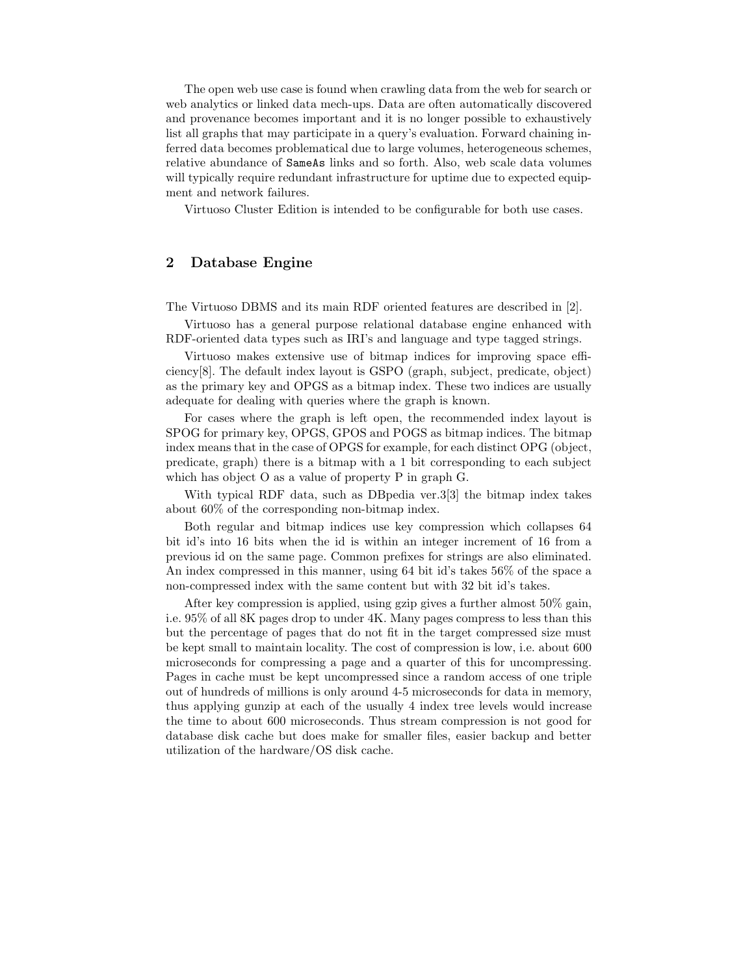The open web use case is found when crawling data from the web for search or web analytics or linked data mech-ups. Data are often automatically discovered and provenance becomes important and it is no longer possible to exhaustively list all graphs that may participate in a query's evaluation. Forward chaining inferred data becomes problematical due to large volumes, heterogeneous schemes, relative abundance of SameAs links and so forth. Also, web scale data volumes will typically require redundant infrastructure for uptime due to expected equipment and network failures.

Virtuoso Cluster Edition is intended to be configurable for both use cases.

## 2 Database Engine

The Virtuoso DBMS and its main RDF oriented features are described in [2].

Virtuoso has a general purpose relational database engine enhanced with RDF-oriented data types such as IRI's and language and type tagged strings.

Virtuoso makes extensive use of bitmap indices for improving space efficiency[8]. The default index layout is GSPO (graph, subject, predicate, object) as the primary key and OPGS as a bitmap index. These two indices are usually adequate for dealing with queries where the graph is known.

For cases where the graph is left open, the recommended index layout is SPOG for primary key, OPGS, GPOS and POGS as bitmap indices. The bitmap index means that in the case of OPGS for example, for each distinct OPG (object, predicate, graph) there is a bitmap with a 1 bit corresponding to each subject which has object O as a value of property P in graph G.

With typical RDF data, such as DBpedia ver.3[3] the bitmap index takes about 60% of the corresponding non-bitmap index.

Both regular and bitmap indices use key compression which collapses 64 bit id's into 16 bits when the id is within an integer increment of 16 from a previous id on the same page. Common prefixes for strings are also eliminated. An index compressed in this manner, using 64 bit id's takes 56% of the space a non-compressed index with the same content but with 32 bit id's takes.

After key compression is applied, using gzip gives a further almost 50% gain, i.e. 95% of all 8K pages drop to under 4K. Many pages compress to less than this but the percentage of pages that do not fit in the target compressed size must be kept small to maintain locality. The cost of compression is low, i.e. about 600 microseconds for compressing a page and a quarter of this for uncompressing. Pages in cache must be kept uncompressed since a random access of one triple out of hundreds of millions is only around 4-5 microseconds for data in memory, thus applying gunzip at each of the usually 4 index tree levels would increase the time to about 600 microseconds. Thus stream compression is not good for database disk cache but does make for smaller files, easier backup and better utilization of the hardware/OS disk cache.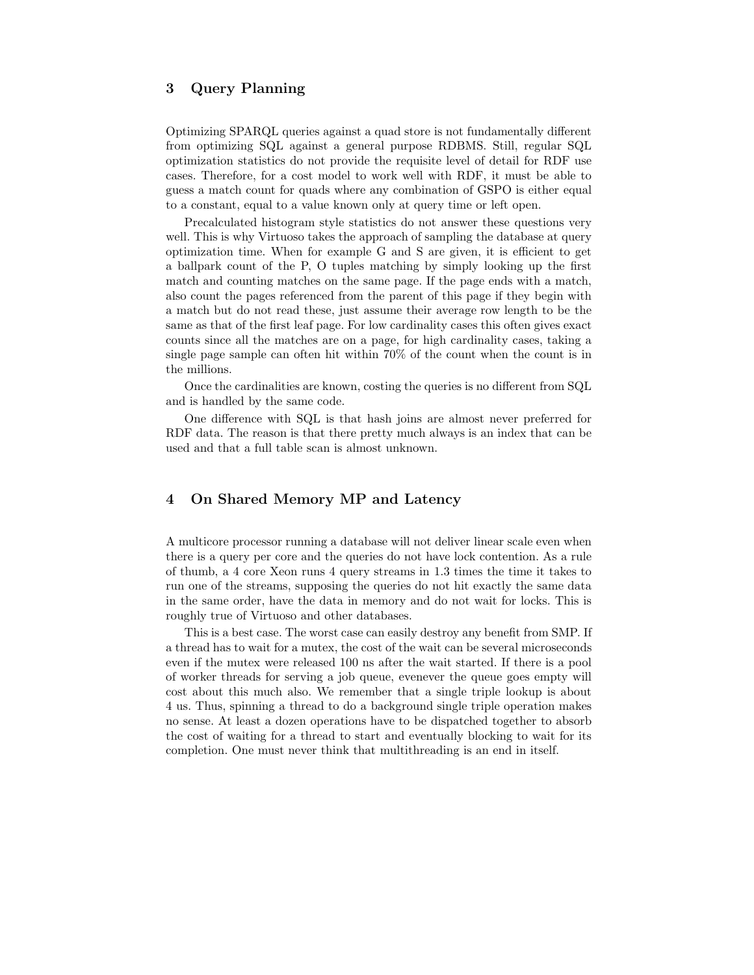# 3 Query Planning

Optimizing SPARQL queries against a quad store is not fundamentally different from optimizing SQL against a general purpose RDBMS. Still, regular SQL optimization statistics do not provide the requisite level of detail for RDF use cases. Therefore, for a cost model to work well with RDF, it must be able to guess a match count for quads where any combination of GSPO is either equal to a constant, equal to a value known only at query time or left open.

Precalculated histogram style statistics do not answer these questions very well. This is why Virtuoso takes the approach of sampling the database at query optimization time. When for example G and S are given, it is efficient to get a ballpark count of the P, O tuples matching by simply looking up the first match and counting matches on the same page. If the page ends with a match, also count the pages referenced from the parent of this page if they begin with a match but do not read these, just assume their average row length to be the same as that of the first leaf page. For low cardinality cases this often gives exact counts since all the matches are on a page, for high cardinality cases, taking a single page sample can often hit within 70% of the count when the count is in the millions.

Once the cardinalities are known, costing the queries is no different from SQL and is handled by the same code.

One difference with SQL is that hash joins are almost never preferred for RDF data. The reason is that there pretty much always is an index that can be used and that a full table scan is almost unknown.

## 4 On Shared Memory MP and Latency

A multicore processor running a database will not deliver linear scale even when there is a query per core and the queries do not have lock contention. As a rule of thumb, a 4 core Xeon runs 4 query streams in 1.3 times the time it takes to run one of the streams, supposing the queries do not hit exactly the same data in the same order, have the data in memory and do not wait for locks. This is roughly true of Virtuoso and other databases.

This is a best case. The worst case can easily destroy any benefit from SMP. If a thread has to wait for a mutex, the cost of the wait can be several microseconds even if the mutex were released 100 ns after the wait started. If there is a pool of worker threads for serving a job queue, evenever the queue goes empty will cost about this much also. We remember that a single triple lookup is about 4 us. Thus, spinning a thread to do a background single triple operation makes no sense. At least a dozen operations have to be dispatched together to absorb the cost of waiting for a thread to start and eventually blocking to wait for its completion. One must never think that multithreading is an end in itself.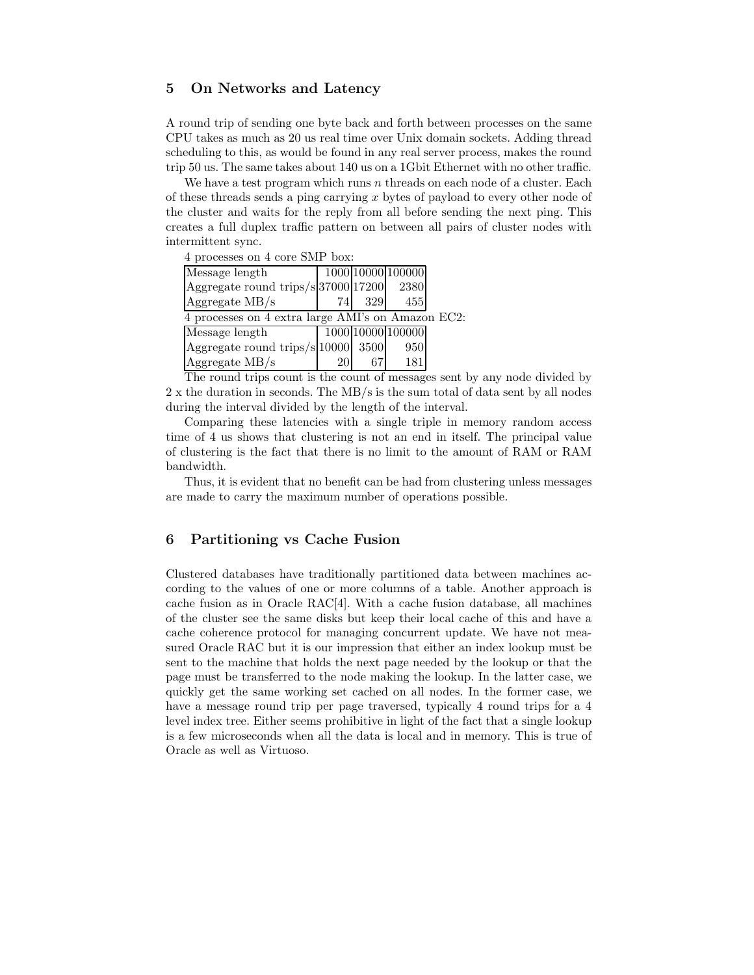## 5 On Networks and Latency

A round trip of sending one byte back and forth between processes on the same CPU takes as much as 20 us real time over Unix domain sockets. Adding thread scheduling to this, as would be found in any real server process, makes the round trip 50 us. The same takes about 140 us on a 1Gbit Ethernet with no other traffic.

We have a test program which runs  $n$  threads on each node of a cluster. Each of these threads sends a ping carrying  $x$  bytes of payload to every other node of the cluster and waits for the reply from all before sending the next ping. This creates a full duplex traffic pattern on between all pairs of cluster nodes with intermittent sync.

4 processes on 4 core SMP box:

| Message length                                    |    |     | 1000 10000 100000 |  |
|---------------------------------------------------|----|-----|-------------------|--|
| Aggregate round trips/s 37000 17200               |    |     | 2380              |  |
| $Aggr$ egate MB/s                                 | 74 | 329 | 455               |  |
| 4 processes on 4 extra large AMI's on Amazon EC2: |    |     |                   |  |
| Message length                                    |    |     | 1000 10000 100000 |  |
| Aggregate round trips/s 10000  3500               |    |     | 950               |  |
| Aggregate MB/s                                    |    |     | 181               |  |

The round trips count is the count of messages sent by any node divided by 2 x the duration in seconds. The MB/s is the sum total of data sent by all nodes during the interval divided by the length of the interval.

Comparing these latencies with a single triple in memory random access time of 4 us shows that clustering is not an end in itself. The principal value of clustering is the fact that there is no limit to the amount of RAM or RAM bandwidth.

Thus, it is evident that no benefit can be had from clustering unless messages are made to carry the maximum number of operations possible.

## 6 Partitioning vs Cache Fusion

Clustered databases have traditionally partitioned data between machines according to the values of one or more columns of a table. Another approach is cache fusion as in Oracle RAC[4]. With a cache fusion database, all machines of the cluster see the same disks but keep their local cache of this and have a cache coherence protocol for managing concurrent update. We have not measured Oracle RAC but it is our impression that either an index lookup must be sent to the machine that holds the next page needed by the lookup or that the page must be transferred to the node making the lookup. In the latter case, we quickly get the same working set cached on all nodes. In the former case, we have a message round trip per page traversed, typically 4 round trips for a 4 level index tree. Either seems prohibitive in light of the fact that a single lookup is a few microseconds when all the data is local and in memory. This is true of Oracle as well as Virtuoso.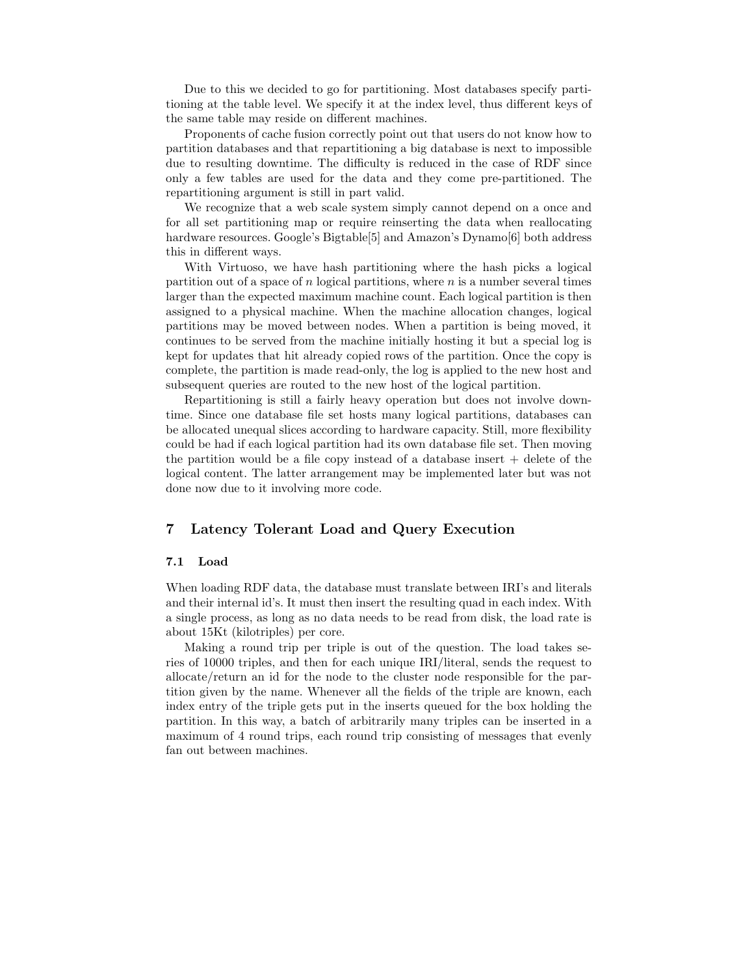Due to this we decided to go for partitioning. Most databases specify partitioning at the table level. We specify it at the index level, thus different keys of the same table may reside on different machines.

Proponents of cache fusion correctly point out that users do not know how to partition databases and that repartitioning a big database is next to impossible due to resulting downtime. The difficulty is reduced in the case of RDF since only a few tables are used for the data and they come pre-partitioned. The repartitioning argument is still in part valid.

We recognize that a web scale system simply cannot depend on a once and for all set partitioning map or require reinserting the data when reallocating hardware resources. Google's Bigtable<sup>[5]</sup> and Amazon's Dynamo<sup>[6]</sup> both address this in different ways.

With Virtuoso, we have hash partitioning where the hash picks a logical partition out of a space of  $n$  logical partitions, where  $n$  is a number several times larger than the expected maximum machine count. Each logical partition is then assigned to a physical machine. When the machine allocation changes, logical partitions may be moved between nodes. When a partition is being moved, it continues to be served from the machine initially hosting it but a special log is kept for updates that hit already copied rows of the partition. Once the copy is complete, the partition is made read-only, the log is applied to the new host and subsequent queries are routed to the new host of the logical partition.

Repartitioning is still a fairly heavy operation but does not involve downtime. Since one database file set hosts many logical partitions, databases can be allocated unequal slices according to hardware capacity. Still, more flexibility could be had if each logical partition had its own database file set. Then moving the partition would be a file copy instead of a database insert  $+$  delete of the logical content. The latter arrangement may be implemented later but was not done now due to it involving more code.

## 7 Latency Tolerant Load and Query Execution

#### 7.1 Load

When loading RDF data, the database must translate between IRI's and literals and their internal id's. It must then insert the resulting quad in each index. With a single process, as long as no data needs to be read from disk, the load rate is about 15Kt (kilotriples) per core.

Making a round trip per triple is out of the question. The load takes series of 10000 triples, and then for each unique IRI/literal, sends the request to allocate/return an id for the node to the cluster node responsible for the partition given by the name. Whenever all the fields of the triple are known, each index entry of the triple gets put in the inserts queued for the box holding the partition. In this way, a batch of arbitrarily many triples can be inserted in a maximum of 4 round trips, each round trip consisting of messages that evenly fan out between machines.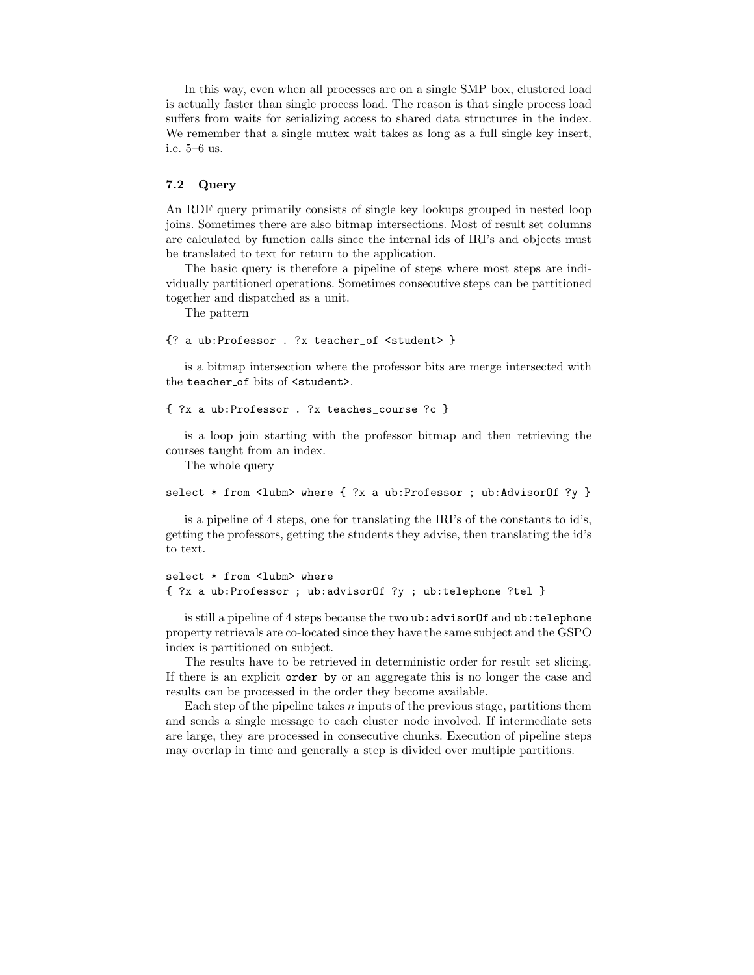In this way, even when all processes are on a single SMP box, clustered load is actually faster than single process load. The reason is that single process load suffers from waits for serializing access to shared data structures in the index. We remember that a single mutex wait takes as long as a full single key insert, i.e. 5–6 us.

### 7.2 Query

An RDF query primarily consists of single key lookups grouped in nested loop joins. Sometimes there are also bitmap intersections. Most of result set columns are calculated by function calls since the internal ids of IRI's and objects must be translated to text for return to the application.

The basic query is therefore a pipeline of steps where most steps are individually partitioned operations. Sometimes consecutive steps can be partitioned together and dispatched as a unit.

The pattern

```
{? a ub:Professor . ?x teacher_of <student> }
```
is a bitmap intersection where the professor bits are merge intersected with the teacher of bits of <student>.

```
{ ?x a ub:Professor . ?x teaches_course ?c }
```
is a loop join starting with the professor bitmap and then retrieving the courses taught from an index.

The whole query

select \* from <lubm> where { ?x a ub:Professor ; ub:AdvisorOf ?y }

is a pipeline of 4 steps, one for translating the IRI's of the constants to id's, getting the professors, getting the students they advise, then translating the id's to text.

```
select * from <lubm> where
{ ?x a ub:Professor ; ub:advisorOf ?y ; ub:telephone ?tel }
```
is still a pipeline of 4 steps because the two ub:advisorOf and ub: telephone property retrievals are co-located since they have the same subject and the GSPO index is partitioned on subject.

The results have to be retrieved in deterministic order for result set slicing. If there is an explicit order by or an aggregate this is no longer the case and results can be processed in the order they become available.

Each step of the pipeline takes  $n$  inputs of the previous stage, partitions them and sends a single message to each cluster node involved. If intermediate sets are large, they are processed in consecutive chunks. Execution of pipeline steps may overlap in time and generally a step is divided over multiple partitions.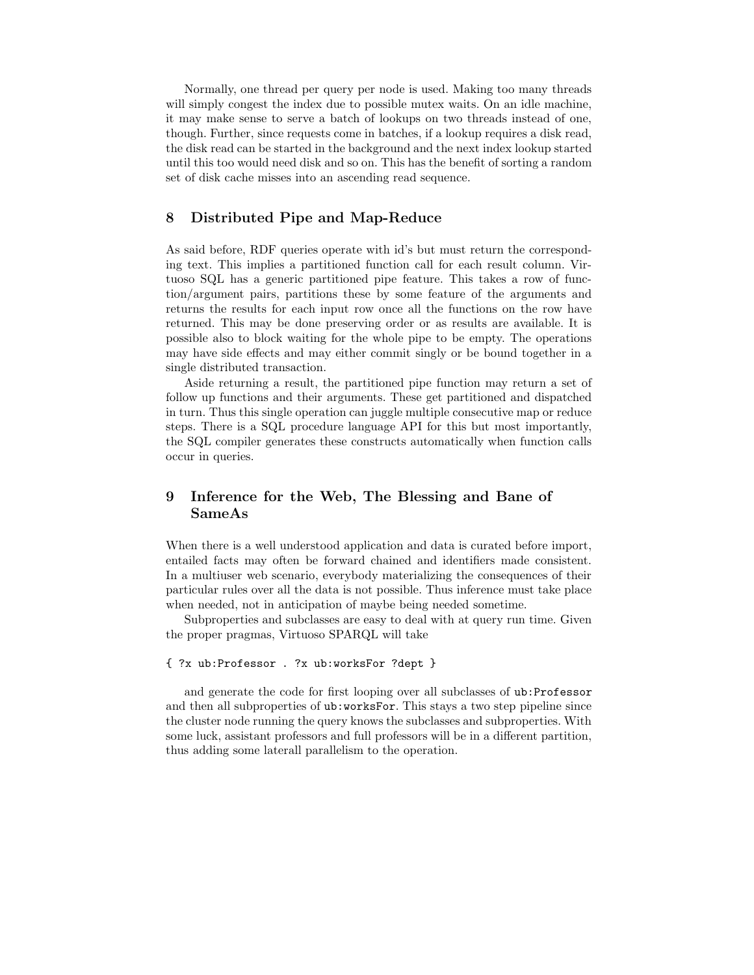Normally, one thread per query per node is used. Making too many threads will simply congest the index due to possible mutex waits. On an idle machine, it may make sense to serve a batch of lookups on two threads instead of one, though. Further, since requests come in batches, if a lookup requires a disk read, the disk read can be started in the background and the next index lookup started until this too would need disk and so on. This has the benefit of sorting a random set of disk cache misses into an ascending read sequence.

## 8 Distributed Pipe and Map-Reduce

As said before, RDF queries operate with id's but must return the corresponding text. This implies a partitioned function call for each result column. Virtuoso SQL has a generic partitioned pipe feature. This takes a row of function/argument pairs, partitions these by some feature of the arguments and returns the results for each input row once all the functions on the row have returned. This may be done preserving order or as results are available. It is possible also to block waiting for the whole pipe to be empty. The operations may have side effects and may either commit singly or be bound together in a single distributed transaction.

Aside returning a result, the partitioned pipe function may return a set of follow up functions and their arguments. These get partitioned and dispatched in turn. Thus this single operation can juggle multiple consecutive map or reduce steps. There is a SQL procedure language API for this but most importantly, the SQL compiler generates these constructs automatically when function calls occur in queries.

# 9 Inference for the Web, The Blessing and Bane of SameAs

When there is a well understood application and data is curated before import, entailed facts may often be forward chained and identifiers made consistent. In a multiuser web scenario, everybody materializing the consequences of their particular rules over all the data is not possible. Thus inference must take place when needed, not in anticipation of maybe being needed sometime.

Subproperties and subclasses are easy to deal with at query run time. Given the proper pragmas, Virtuoso SPARQL will take

```
{ ?x ub:Professor . ?x ub:worksFor ?dept }
```
and generate the code for first looping over all subclasses of ub:Professor and then all subproperties of ub:worksFor. This stays a two step pipeline since the cluster node running the query knows the subclasses and subproperties. With some luck, assistant professors and full professors will be in a different partition, thus adding some laterall parallelism to the operation.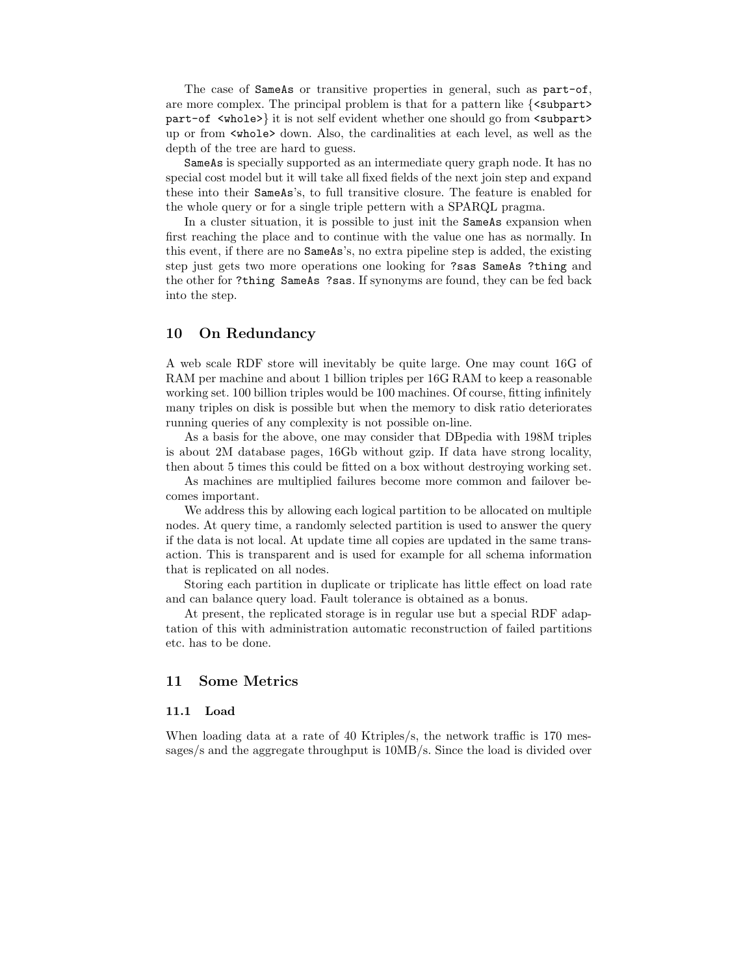The case of **SameAs** or transitive properties in general, such as part-of, are more complex. The principal problem is that for a pattern like  $\{\leq \text{subpart} \geq \}$ part-of <whole>} it is not self evident whether one should go from <subpart> up or from <whole> down. Also, the cardinalities at each level, as well as the depth of the tree are hard to guess.

SameAs is specially supported as an intermediate query graph node. It has no special cost model but it will take all fixed fields of the next join step and expand these into their SameAs's, to full transitive closure. The feature is enabled for the whole query or for a single triple pettern with a SPARQL pragma.

In a cluster situation, it is possible to just init the SameAs expansion when first reaching the place and to continue with the value one has as normally. In this event, if there are no SameAs's, no extra pipeline step is added, the existing step just gets two more operations one looking for ?sas SameAs ?thing and the other for ?thing SameAs ?sas. If synonyms are found, they can be fed back into the step.

## 10 On Redundancy

A web scale RDF store will inevitably be quite large. One may count 16G of RAM per machine and about 1 billion triples per 16G RAM to keep a reasonable working set. 100 billion triples would be 100 machines. Of course, fitting infinitely many triples on disk is possible but when the memory to disk ratio deteriorates running queries of any complexity is not possible on-line.

As a basis for the above, one may consider that DBpedia with 198M triples is about 2M database pages, 16Gb without gzip. If data have strong locality, then about 5 times this could be fitted on a box without destroying working set.

As machines are multiplied failures become more common and failover becomes important.

We address this by allowing each logical partition to be allocated on multiple nodes. At query time, a randomly selected partition is used to answer the query if the data is not local. At update time all copies are updated in the same transaction. This is transparent and is used for example for all schema information that is replicated on all nodes.

Storing each partition in duplicate or triplicate has little effect on load rate and can balance query load. Fault tolerance is obtained as a bonus.

At present, the replicated storage is in regular use but a special RDF adaptation of this with administration automatic reconstruction of failed partitions etc. has to be done.

## 11 Some Metrics

#### 11.1 Load

When loading data at a rate of 40 Ktriples/s, the network traffic is 170 messages/s and the aggregate throughput is 10MB/s. Since the load is divided over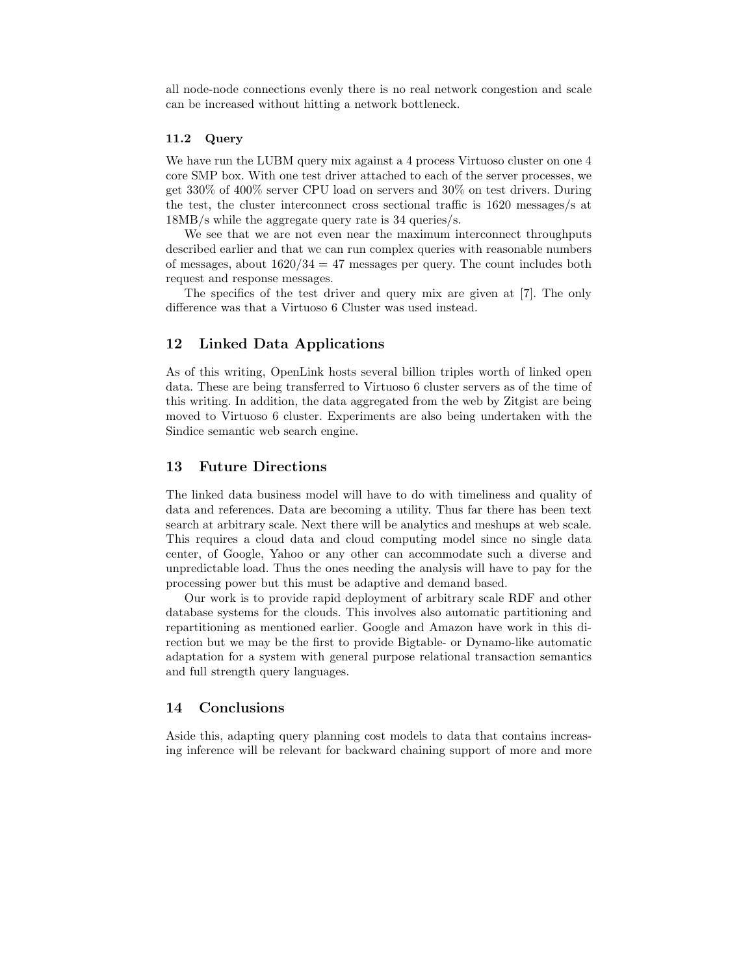all node-node connections evenly there is no real network congestion and scale can be increased without hitting a network bottleneck.

#### 11.2 Query

We have run the LUBM query mix against a 4 process Virtuoso cluster on one 4 core SMP box. With one test driver attached to each of the server processes, we get 330% of 400% server CPU load on servers and 30% on test drivers. During the test, the cluster interconnect cross sectional traffic is 1620 messages/s at 18MB/s while the aggregate query rate is 34 queries/s.

We see that we are not even near the maximum interconnect throughputs described earlier and that we can run complex queries with reasonable numbers of messages, about  $1620/34 = 47$  messages per query. The count includes both request and response messages.

The specifics of the test driver and query mix are given at [7]. The only difference was that a Virtuoso 6 Cluster was used instead.

## 12 Linked Data Applications

As of this writing, OpenLink hosts several billion triples worth of linked open data. These are being transferred to Virtuoso 6 cluster servers as of the time of this writing. In addition, the data aggregated from the web by Zitgist are being moved to Virtuoso 6 cluster. Experiments are also being undertaken with the Sindice semantic web search engine.

## 13 Future Directions

The linked data business model will have to do with timeliness and quality of data and references. Data are becoming a utility. Thus far there has been text search at arbitrary scale. Next there will be analytics and meshups at web scale. This requires a cloud data and cloud computing model since no single data center, of Google, Yahoo or any other can accommodate such a diverse and unpredictable load. Thus the ones needing the analysis will have to pay for the processing power but this must be adaptive and demand based.

Our work is to provide rapid deployment of arbitrary scale RDF and other database systems for the clouds. This involves also automatic partitioning and repartitioning as mentioned earlier. Google and Amazon have work in this direction but we may be the first to provide Bigtable- or Dynamo-like automatic adaptation for a system with general purpose relational transaction semantics and full strength query languages.

### 14 Conclusions

Aside this, adapting query planning cost models to data that contains increasing inference will be relevant for backward chaining support of more and more